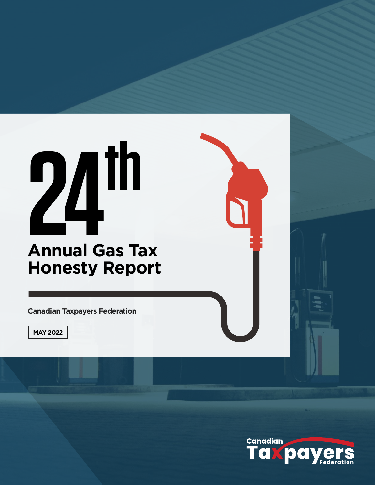# **Annual Gas Tax Honesty Report 24th**

**Canadian Taxpayers Federation**

**MAY 2022**

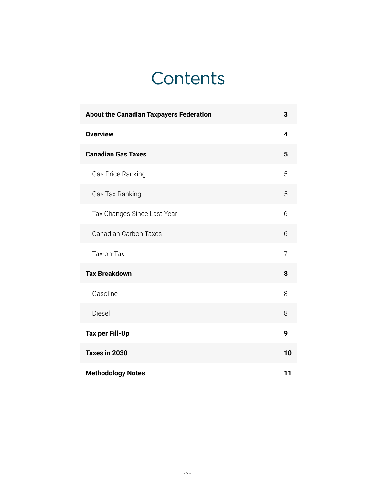# **Contents**

| <b>About the Canadian Taxpayers Federation</b> | 3  |
|------------------------------------------------|----|
| <b>Overview</b>                                | 4  |
| <b>Canadian Gas Taxes</b>                      | 5  |
| Gas Price Ranking                              | 5  |
| Gas Tax Ranking                                | 5  |
| Tax Changes Since Last Year                    | 6  |
| <b>Canadian Carbon Taxes</b>                   | 6  |
| Tax-on-Tax                                     | 7  |
| <b>Tax Breakdown</b>                           | 8  |
| Gasoline                                       | 8  |
| Diesel                                         | 8  |
| <b>Tax per Fill-Up</b>                         | 9  |
| Taxes in 2030                                  | 10 |
| <b>Methodology Notes</b>                       | 11 |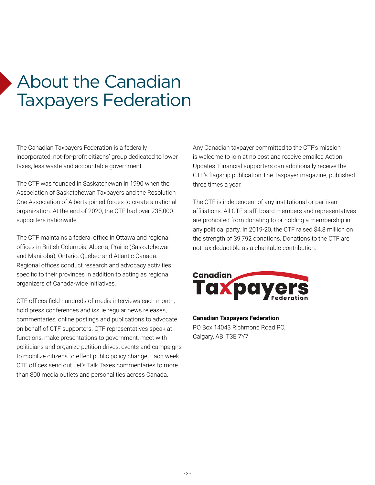# <span id="page-2-0"></span>About the Canadian Taxpayers Federation

The Canadian Taxpayers Federation is a federally incorporated, not-for-profit citizens' group dedicated to lower taxes, less waste and accountable government.

The CTF was founded in Saskatchewan in 1990 when the Association of Saskatchewan Taxpayers and the Resolution One Association of Alberta joined forces to create a national organization. At the end of 2020, the CTF had over 235,000 supporters nationwide.

The CTF maintains a federal office in Ottawa and regional offices in British Columbia, Alberta, Prairie (Saskatchewan and Manitoba), Ontario, Québec and Atlantic Canada. Regional offices conduct research and advocacy activities specific to their provinces in addition to acting as regional organizers of Canada-wide initiatives.

CTF offices field hundreds of media interviews each month, hold press conferences and issue regular news releases, commentaries, online postings and publications to advocate on behalf of CTF supporters. CTF representatives speak at functions, make presentations to government, meet with politicians and organize petition drives, events and campaigns to mobilize citizens to effect public policy change. Each week CTF offices send out Let's Talk Taxes commentaries to more than 800 media outlets and personalities across Canada.

Any Canadian taxpayer committed to the CTF's mission is welcome to join at no cost and receive emailed Action Updates. Financial supporters can additionally receive the CTF's flagship publication The Taxpayer magazine, published three times a year.

The CTF is independent of any institutional or partisan affiliations. All CTF staff, board members and representatives are prohibited from donating to or holding a membership in any political party. In 2019-20, the CTF raised \$4.8 million on the strength of 39,792 donations. Donations to the CTF are not tax deductible as a charitable contribution.



**Canadian Taxpayers Federation** PO Box 14043 Richmond Road PO, Calgary, AB T3E 7Y7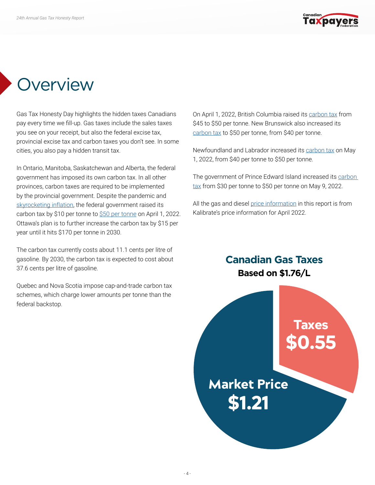

## <span id="page-3-0"></span>**Overview**

Gas Tax Honesty Day highlights the hidden taxes Canadians pay every time we fill-up. Gas taxes include the sales taxes you see on your receipt, but also the federal excise tax, provincial excise tax and carbon taxes you don't see. In some cities, you also pay a hidden transit tax.

In Ontario, Manitoba, Saskatchewan and Alberta, the federal government has imposed its own carbon tax. In all other provinces, carbon taxes are required to be implemented by the provincial government. Despite the pandemic and [skyrocketing inflation](https://www.statcan.gc.ca/en/subjects-start/prices_and_price_indexes/consumer_price_indexes), the federal government raised its carbon tax by \$10 per tonne to [\\$50 per tonne](https://www.canada.ca/en/revenue-agency/services/forms-publications/publications/fcrates/fuel-charge-rates.html) on April 1, 2022. Ottawa's plan is to further increase the carbon tax by \$15 per year until it hits \$170 per tonne in 2030.

The carbon tax currently costs about 11.1 cents per litre of gasoline. By 2030, the carbon tax is expected to cost about 37.6 cents per litre of gasoline.

Quebec and Nova Scotia impose cap-and-trade carbon tax schemes, which charge lower amounts per tonne than the federal backstop.

On April 1, 2022, British Columbia raised its [carbon tax](https://www2.gov.bc.ca/assets/gov/taxes/sales-taxes/publications/mft-ct-005-tax-rates-fuels.pdf) from \$45 to \$50 per tonne. New Brunswick also increased its [carbon tax](https://www2.gnb.ca/content/gnb/en/news/news_release.2022.03.0168.html) to \$50 per tonne, from \$40 per tonne.

Newfoundland and Labrador increased its [carbon tax](https://www.gov.nl.ca/fin/tax-programs-incentives/personal/carbontax/) on May 1, 2022, from \$40 per tonne to \$50 per tonne.

The government of Prince Edward Island increased its [carbon](https://docs.assembly.pe.ca/download/dms?objectId=5bb0d36c-1d4a-4a25-955f-32ba62f9c930&fileName=bill-60.pdf)  [tax](https://docs.assembly.pe.ca/download/dms?objectId=5bb0d36c-1d4a-4a25-955f-32ba62f9c930&fileName=bill-60.pdf) from \$30 per tonne to \$50 per tonne on May 9, 2022.

All the gas and diesel [price information](https://charting.kalibrate.com/) in this report is from Kalibrate's price information for April 2022.

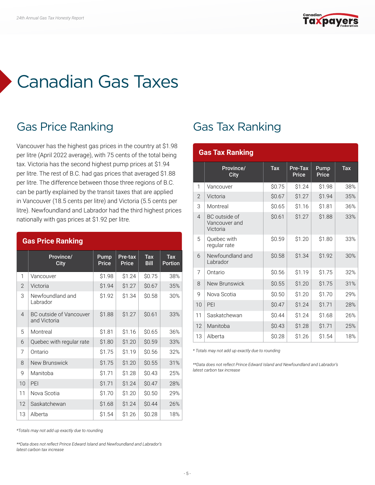

# <span id="page-4-0"></span>Canadian Gas Taxes

#### Gas Price Ranking

Vancouver has the highest gas prices in the country at \$1.98 per litre (April 2022 average), with 75 cents of the total being tax. Victoria has the second highest pump prices at \$1.94 per litre. The rest of B.C. had gas prices that averaged \$1.88 per litre. The difference between those three regions of B.C. can be partly explained by the transit taxes that are applied in Vancouver (18.5 cents per litre) and Victoria (5.5 cents per litre). Newfoundland and Labrador had the third highest prices nationally with gas prices at \$1.92 per litre.

|                | <b>Gas Price Ranking</b>                       |                      |                  |                                        |                           |  |  |  |  |  |  |
|----------------|------------------------------------------------|----------------------|------------------|----------------------------------------|---------------------------|--|--|--|--|--|--|
|                | Province/<br>City                              | Pump<br><b>Price</b> | Pre-tax<br>Price | $\overline{\text{Tax}}$<br><b>Bill</b> | $\overline{a}$<br>Portion |  |  |  |  |  |  |
| 1              | Vancouver                                      | \$1.98               | \$1.24           | \$0.75                                 | 38%                       |  |  |  |  |  |  |
| $\overline{2}$ | Victoria                                       | \$1.94               | \$1.27           | \$0.67                                 | 35%                       |  |  |  |  |  |  |
| 3              | Newfoundland and<br>Labrador                   | \$1.92               | \$1.34           | \$0.58                                 | 30%                       |  |  |  |  |  |  |
| $\overline{4}$ | <b>BC</b> outside of Vancouver<br>and Victoria | \$1.88               | \$1.27           | \$0.61                                 | 33%                       |  |  |  |  |  |  |
| 5              | Montreal                                       | \$1.81               | \$1.16           | \$0.65                                 | 36%                       |  |  |  |  |  |  |
| 6              | Quebec with regular rate                       | \$1.80               | \$1.20           | \$0.59                                 | 33%                       |  |  |  |  |  |  |
| 7              | Ontario                                        | \$1.75               | \$1.19           | \$0.56                                 | 32%                       |  |  |  |  |  |  |
| 8              | New Brunswick                                  | \$1.75               | \$1.20           | \$0.55                                 | 31%                       |  |  |  |  |  |  |
| g              | Manitoba                                       | \$1.71               | \$1.28           | \$0.43                                 | 25%                       |  |  |  |  |  |  |
| 10             | PEI                                            | \$1.71               | \$1.24           | \$0.47                                 | 28%                       |  |  |  |  |  |  |
| 11             | Nova Scotia                                    | \$1.70               | \$1.20           | \$0.50                                 | 29%                       |  |  |  |  |  |  |
| 12             | Saskatchewan                                   | \$1.68               | \$1.24           | \$0.44                                 | 26%                       |  |  |  |  |  |  |
| 13             | Alberta                                        | \$1.54               | \$1.26           | \$0.28                                 | 18%                       |  |  |  |  |  |  |

#### Gas Tax Ranking

|                | <b>Gas Tax Ranking</b>                     |              |                   |               |     |
|----------------|--------------------------------------------|--------------|-------------------|---------------|-----|
|                | Province/<br><b>City</b>                   | Tax          | Pre-Tax<br>Price  | Pump<br>Price | Tax |
| 1              | Vancouver                                  | \$0.75       | \$1.24            | \$1.98        | 38% |
| $\overline{2}$ | Victoria                                   | \$0.67       | \$1.27            | \$1.94        | 35% |
| 3              | Montreal                                   | \$0.65       | \$1.16            | \$1.81        | 36% |
| $\overline{4}$ | BC outside of<br>Vancouver and<br>Victoria | \$0.61       | \$1.27            | \$1.88        | 33% |
| 5              | Ouebec with<br>regular rate                | \$0.59       | \$1.20            | \$1.80        | 33% |
| 6              | Newfoundland and<br>Labrador               | \$0.58       | \$1.34            | \$1.92        | 30% |
| 7              | Ontario                                    | \$0.56       | \$1.19            | \$1.75        | 32% |
| 8              | New Brunswick                              | \$0.55       | \$1.20            | \$1.75        | 31% |
| g              | Nova Scotia                                | \$0.50       | \$1.20            | \$1.70        | 29% |
| 10             | PEI                                        | \$0.47       | \$1.24            | \$1.71        | 28% |
| 11             | Saskatchewan                               | <b>SO.44</b> | S <sub>1.24</sub> | \$1.68        | 26% |
| 12             | Manitoba                                   | \$0.43       | \$1.28            | \$1.71        | 25% |
| 13             | Alberta                                    | \$0.28       | S <sub>1.26</sub> | \$1.54        | 18% |

*\* Totals may not add up exactly due to rounding*

*\*\*Data does not reflect Prince Edward Island and Newfoundland and Labrador's latest carbon tax increase*

*\*Totals may not add up exactly due to rounding*

*\*\*Data does not reflect Prince Edward Island and Newfoundland and Labrador's latest carbon tax increase*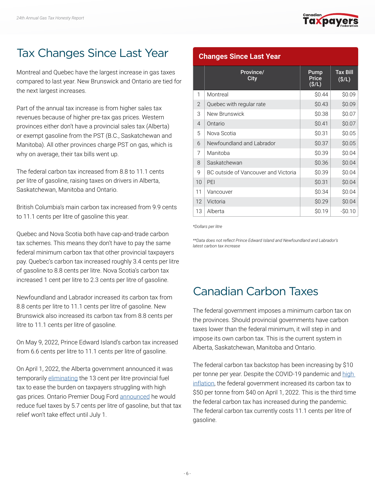

#### <span id="page-5-0"></span>Tax Changes Since Last Year

Montreal and Quebec have the largest increase in gas taxes compared to last year. New Brunswick and Ontario are tied for the next largest increases.

Part of the annual tax increase is from higher sales tax revenues because of higher pre-tax gas prices. Western provinces either don't have a provincial sales tax (Alberta) or exempt gasoline from the PST (B.C., Saskatchewan and Manitoba). All other provinces charge PST on gas, which is why on average, their tax bills went up.

The federal carbon tax increased from 8.8 to 11.1 cents per litre of gasoline, raising taxes on drivers in Alberta, Saskatchewan, Manitoba and Ontario.

British Columbia's main carbon tax increased from 9.9 cents to 11.1 cents per litre of gasoline this year.

Quebec and Nova Scotia both have cap-and-trade carbon tax schemes. This means they don't have to pay the same federal minimum carbon tax that other provincial taxpayers pay. Quebec's carbon tax increased roughly 3.4 cents per litre of gasoline to 8.8 cents per litre. Nova Scotia's carbon tax increased 1 cent per litre to 2.3 cents per litre of gasoline.

Newfoundland and Labrador increased its carbon tax from 8.8 cents per litre to 11.1 cents per litre of gasoline. New Brunswick also increased its carbon tax from 8.8 cents per litre to 11.1 cents per litre of gasoline.

On May 9, 2022, Prince Edward Island's carbon tax increased from 6.6 cents per litre to 11.1 cents per litre of gasoline.

On April 1, 2022, the Alberta government announced it was temporarily [eliminating](https://www.taxpayer.com/newsroom/kenney-government%E2%80%99s-gas-tax-cut-provides-needed-help-to-taxpayers) the 13 cent per litre provincial fuel tax to ease the burden on taxpayers struggling with high gas prices. Ontario Premier Doug Ford [announced](https://www.cbc.ca/news/canada/toronto/ontario-gas-tax-1.6407385) he would reduce fuel taxes by 5.7 cents per litre of gasoline, but that tax relief won't take effect until July 1.

#### **Changes Since Last Year**

|                | Province/<br>City                    | Pump<br>Price<br>(S/L) | <b>Tax Bill</b><br>(S/L) |
|----------------|--------------------------------------|------------------------|--------------------------|
| 1              | Montreal                             | \$0.44                 | \$0.09                   |
| $\overline{2}$ | Quebec with regular rate             | \$0.43                 | \$0.09                   |
| 3              | New Brunswick                        | \$0.38                 | \$0.07                   |
| $\overline{4}$ | Ontario                              | \$0.41                 | \$0.07                   |
| 5              | Nova Scotia                          | \$0.31                 | \$0.05                   |
| 6              | Newfoundland and Labrador            | \$0.37                 | \$0.05                   |
| 7              | Manitoba                             | \$0.39                 | \$0.04                   |
| 8              | Saskatchewan                         | \$0.36                 | \$0.04                   |
| 9              | BC outside of Vancouver and Victoria | \$0.39                 | \$0.04                   |
| 10             | PEI                                  | \$0.31                 | \$0.04                   |
| 11             | Vancouver                            | \$0.34                 | \$0.04                   |
| 12             | Victoria                             | \$0.29                 | \$0.04                   |
| 13             | Alberta                              | \$0.19                 | $-S0.10$                 |

*\*Dollars per litre*

*\*\*Data does not reflect Prince Edward Island and Newfoundland and Labrador's latest carbon tax increase*

#### Canadian Carbon Taxes

The federal government imposes a minimum carbon tax on the provinces. Should provincial governments have carbon taxes lower than the federal minimum, it will step in and impose its own carbon tax. This is the current system in Alberta, Saskatchewan, Manitoba and Ontario.

The federal carbon tax backstop has been increasing by \$10 per tonne per year. Despite the COVID-19 pandemic and high [inflation](https://www150.statcan.gc.ca/n1/daily-quotidien/220420/dq220420a-eng.htm), the federal government increased its carbon tax to \$50 per tonne from \$40 on April 1, 2022. This is the third time the federal carbon tax has increased during the pandemic. The federal carbon tax currently costs 11.1 cents per litre of gasoline.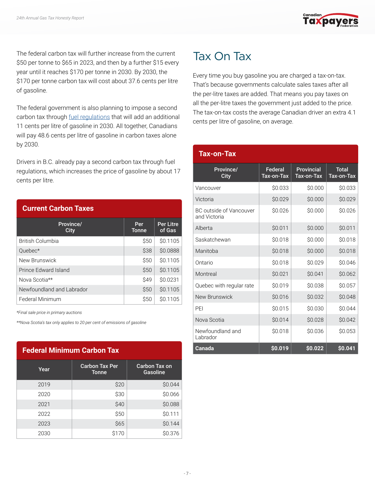

<span id="page-6-0"></span>The federal carbon tax will further increase from the current \$50 per tonne to \$65 in 2023, and then by a further \$15 every year until it reaches \$170 per tonne in 2030. By 2030, the \$170 per tonne carbon tax will cost about 37.6 cents per litre of gasoline.

The federal government is also planning to impose a second carbon tax through [fuel regulations](https://canadagazette.gc.ca/rp-pr/p1/2020/2020-12-19/html/reg2-eng.html) that will add an additional 11 cents per litre of gasoline in 2030. All together, Canadians will pay 48.6 cents per litre of gasoline in carbon taxes alone by 2030.

Drivers in B.C. already pay a second carbon tax through fuel regulations, which increases the price of gasoline by about 17 cents per litre.

| <b>Current Carbon Taxes</b> |                     |                            |  |  |  |  |  |  |  |
|-----------------------------|---------------------|----------------------------|--|--|--|--|--|--|--|
| Province/<br>City           | Per<br><b>Tonne</b> | <b>Per Litre</b><br>of Gas |  |  |  |  |  |  |  |
| British Columbia            | <b>S50</b>          | \$0.1105                   |  |  |  |  |  |  |  |
| Quebec*                     | \$38                | \$0.0888                   |  |  |  |  |  |  |  |
| New Brunswick               | \$50                | \$0.1105                   |  |  |  |  |  |  |  |
| Prince Edward Island        | <b>S50</b>          | \$0.1105                   |  |  |  |  |  |  |  |
| Nova Scotia**               | \$49                | \$0.0231                   |  |  |  |  |  |  |  |
| Newfoundland and Labrador   | <b>S50</b>          | \$0.1105                   |  |  |  |  |  |  |  |
| Federal Minimum             | \$50                | \$0.1105                   |  |  |  |  |  |  |  |

*\*Final sale price in primary auctions*

*\*\*Nova Scotia's tax only applies to 20 per cent of emissions of gasoline*

| <b>Federal Minimum Carbon Tax</b> |                                       |                           |  |  |  |  |  |  |  |
|-----------------------------------|---------------------------------------|---------------------------|--|--|--|--|--|--|--|
| Year                              | <b>Carbon Tax Per</b><br><b>Tonne</b> | Carbon Tax on<br>Gasoline |  |  |  |  |  |  |  |
| 2019                              | \$20                                  | \$0.044                   |  |  |  |  |  |  |  |
| 2020                              | \$30                                  | \$0.066                   |  |  |  |  |  |  |  |
| 2021                              | \$40                                  | \$0.088                   |  |  |  |  |  |  |  |
| 2022                              | \$50                                  | \$0.111                   |  |  |  |  |  |  |  |
| 2023                              | \$65                                  | \$0.144                   |  |  |  |  |  |  |  |
| 2030                              | \$170                                 | \$0.376                   |  |  |  |  |  |  |  |

#### Tax On Tax

Every time you buy gasoline you are charged a tax-on-tax. That's because governments calculate sales taxes after all the per-litre taxes are added. That means you pay taxes on all the per-litre taxes the government just added to the price. The tax-on-tax costs the average Canadian driver an extra 4.1 cents per litre of gasoline, on average.

| Tax-on-Tax                              |                       |                                 |                            |
|-----------------------------------------|-----------------------|---------------------------------|----------------------------|
| Province/<br>City                       | Federal<br>Tax-on-Tax | <b>Provincial</b><br>Tax-on-Tax | <b>Total</b><br>Tax-on-Tax |
| Vancouver                               | \$0.033               | \$0.000                         | \$0.033                    |
| Victoria                                | \$0.029               | \$0.000                         | \$0.029                    |
| BC outside of Vancouver<br>and Victoria | \$0.026               | \$0.000                         | \$0.026                    |
| Alberta                                 | \$0.011               | \$0.000                         | \$0.011                    |
| Saskatchewan                            | \$0.018               | \$0.000                         | \$0.018                    |
| Manitoba                                | \$0.018               | \$0.000                         | \$0.018                    |
| Ontario                                 | \$0.018               | \$0.029                         | \$0.046                    |
| Montreal                                | \$0.021               | \$0.041                         | \$0.062                    |
| Quebec with regular rate                | \$0.019               | \$0.038                         | \$0.057                    |
| New Brunswick                           | \$0.016               | \$0.032                         | \$0.048                    |
| PEI                                     | \$0.015               | \$0.030                         | \$0.044                    |
| Nova Scotia                             | \$0.014               | \$0.028                         | \$0.042                    |
| Newfoundland and<br>Labrador            | \$0.018               | \$0.036                         | \$0.053                    |
| Canada                                  | \$0.019               | \$0.022                         | \$0.041                    |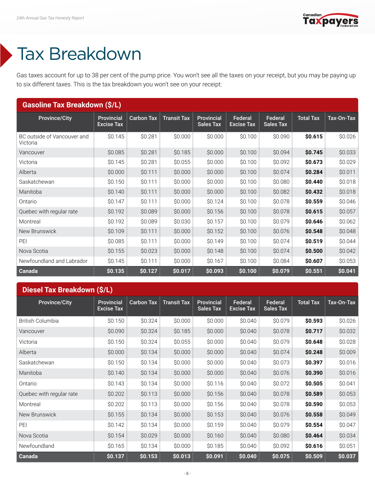

# <span id="page-7-0"></span>Tax Breakdown

Gas taxes account for up to 38 per cent of the pump price. You won't see all the taxes on your receipt, but you may be paying up to six different taxes. This is the tax breakdown you won't see on your receipt:

| <b>Gasoline Tax Breakdown (\$/L)</b>    |                                        |                   |                    |                                       |                              |                             |                  |            |  |
|-----------------------------------------|----------------------------------------|-------------------|--------------------|---------------------------------------|------------------------------|-----------------------------|------------------|------------|--|
| <b>Province/City</b>                    | <b>Provincial</b><br><b>Excise Tax</b> | <b>Carbon Tax</b> | <b>Transit Tax</b> | <b>Provincial</b><br><b>Sales Tax</b> | Federal<br><b>Excise Tax</b> | Federal<br><b>Sales Tax</b> | <b>Total Tax</b> | Tax-On-Tax |  |
| BC outside of Vancouver and<br>Victoria | \$0.145                                | \$0.281           | \$0.000            | \$0.000                               | \$0.100                      | \$0.090                     | \$0.615          | \$0.026    |  |
| Vancouver                               | \$0.085                                | \$0.281           | \$0.185            | \$0.000                               | \$0.100                      | \$0.094                     | \$0.745          | \$0.033    |  |
| Victoria                                | \$0.145                                | \$0.281           | \$0.055            | \$0.000                               | \$0.100                      | \$0.092                     | \$0.673          | \$0.029    |  |
| Alberta                                 | \$0.000                                | \$0.111           | \$0.000            | \$0.000                               | \$0.100                      | \$0.074                     | \$0.284          | \$0.011    |  |
| Saskatchewan                            | \$0.150                                | \$0.111           | \$0.000            | \$0.000                               | \$0.100                      | \$0.080                     | \$0.440          | \$0.018    |  |
| Manitoba                                | \$0.140                                | \$0.111           | \$0.000            | \$0.000                               | \$0.100                      | \$0.082                     | \$0.432          | \$0.018    |  |
| Ontario                                 | \$0.147                                | \$0.111           | \$0.000            | \$0.124                               | \$0.100                      | \$0.078                     | \$0.559          | \$0.046    |  |
| Quebec with regular rate                | \$0.192                                | \$0.089           | \$0.000            | \$0.156                               | \$0.100                      | \$0.078                     | \$0.615          | \$0.057    |  |
| Montreal                                | \$0.192                                | \$0.089           | \$0.030            | \$0.157                               | \$0.100                      | \$0.079                     | \$0.646          | \$0.062    |  |
| New Brunswick                           | \$0.109                                | \$0.111           | \$0.000            | \$0.152                               | \$0.100                      | \$0.076                     | \$0.548          | \$0.048    |  |
| PEI                                     | \$0.085                                | \$0.111           | \$0.000            | \$0.149                               | \$0.100                      | \$0.074                     | \$0.519          | \$0.044    |  |
| Nova Scotia                             | \$0.155                                | \$0.023           | \$0.000            | \$0.148                               | \$0.100                      | \$0.074                     | \$0.500          | \$0.042    |  |
| Newfoundland and Labrador               | \$0.145                                | \$0.111           | \$0.000            | \$0.167                               | \$0.100                      | \$0.084                     | \$0.607          | \$0.053    |  |
| Canada                                  | \$0.135                                | \$0.127           | \$0.017            | \$0.093                               | \$0.100                      | \$0.079                     | \$0.551          | \$0.041    |  |

#### **Diesel Tax Breakdown (\$/L)**

| <b>Province/City</b>     | <b>Provincial</b><br><b>Excise Tax</b> | <b>Carbon Tax</b> | <b>Transit Tax</b> | <b>Provincial</b><br><b>Sales Tax</b> | Federal<br><b>Excise Tax</b> | Federal<br><b>Sales Tax</b> | <b>Total Tax</b> | Tax-On-Tax |
|--------------------------|----------------------------------------|-------------------|--------------------|---------------------------------------|------------------------------|-----------------------------|------------------|------------|
| <b>British Columbia</b>  | \$0.150                                | \$0.324           | \$0.000            | \$0.000                               | \$0.040                      | \$0.079                     | \$0.593          | \$0.026    |
| Vancouver                | \$0.090                                | \$0.324           | \$0.185            | \$0.000                               | \$0.040                      | \$0.078                     | \$0.717          | \$0.032    |
| Victoria                 | \$0.150                                | \$0.324           | \$0.055            | \$0.000                               | \$0.040                      | \$0.079                     | \$0.648          | \$0.028    |
| Alberta                  | \$0.000                                | \$0.134           | \$0.000            | \$0.000                               | \$0.040                      | \$0.074                     | \$0.248          | \$0.009    |
| Saskatchewan             | \$0.150                                | \$0.134           | \$0.000            | \$0.000                               | \$0.040                      | \$0.073                     | \$0.397          | \$0.016    |
| Manitoba                 | \$0.140                                | \$0.134           | \$0.000            | \$0.000                               | \$0.040                      | \$0.076                     | \$0.390          | \$0.016    |
| Ontario                  | \$0.143                                | \$0.134           | \$0.000            | \$0.116                               | \$0.040                      | \$0.072                     | \$0.505          | \$0.041    |
| Quebec with regular rate | \$0.202                                | \$0.113           | \$0.000            | \$0.156                               | \$0.040                      | \$0.078                     | \$0.589          | \$0.053    |
| Montreal                 | \$0.202                                | \$0.113           | \$0.000            | \$0.156                               | \$0.040                      | \$0.078                     | \$0.590          | \$0.053    |
| New Brunswick            | \$0.155                                | \$0.134           | \$0.000            | \$0.153                               | \$0.040                      | \$0.076                     | \$0.558          | \$0.049    |
| PEI                      | \$0.142                                | \$0.134           | \$0.000            | \$0.159                               | \$0.040                      | \$0.079                     | \$0.554          | \$0.047    |
| Nova Scotia              | \$0.154                                | \$0.029           | \$0.000            | \$0.160                               | \$0.040                      | \$0.080                     | \$0.464          | \$0.034    |
| Newfoundland             | \$0.165                                | \$0.134           | \$0.000            | \$0.185                               | \$0.040                      | \$0.092                     | \$0.616          | \$0.051    |
| Canada                   | \$0.137                                | \$0.153           | \$0.013            | \$0.091                               | \$0.040                      | \$0.075                     | \$0.509          | \$0.037    |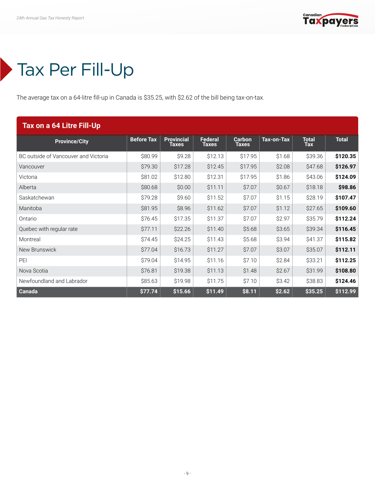

#### <span id="page-8-0"></span>Tax Per Fill-Up

The average tax on a 64-litre fill-up in Canada is \$35.25, with \$2.62 of the bill being tax-on-tax.

| Tax on a 64 Litre Fill-Up            |                   |                            |                                |                        |            |                            |              |  |  |
|--------------------------------------|-------------------|----------------------------|--------------------------------|------------------------|------------|----------------------------|--------------|--|--|
| <b>Province/City</b>                 | <b>Before Tax</b> | <b>Provincial</b><br>Taxes | <b>Federal</b><br><b>Taxes</b> | Carbon<br><b>Taxes</b> | Tax-on-Tax | <b>Total</b><br><b>Tax</b> | <b>Total</b> |  |  |
| BC outside of Vancouver and Victoria | \$80.99           | \$9.28                     | \$12.13                        | \$17.95                | \$1.68     | \$39.36                    | \$120.35     |  |  |
| Vancouver                            | \$79.30           | \$17.28                    | \$12.45                        | \$17.95                | \$2.08     | \$47.68                    | \$126.97     |  |  |
| Victoria                             | \$81.02           | \$12.80                    | \$12.31                        | \$17.95                | \$1.86     | \$43.06                    | \$124.09     |  |  |
| Alberta                              | \$80.68           | \$0.00                     | \$11.11                        | \$7.07                 | \$0.67     | \$18.18                    | \$98.86      |  |  |
| Saskatchewan                         | \$79.28           | \$9.60                     | \$11.52                        | \$7.07                 | \$1.15     | \$28.19                    | \$107.47     |  |  |
| Manitoba                             | \$81.95           | \$8.96                     | \$11.62                        | \$7.07                 | \$1.12     | \$27.65                    | \$109.60     |  |  |
| Ontario                              | \$76.45           | \$17.35                    | \$11.37                        | \$7.07                 | \$2.97     | \$35.79                    | \$112.24     |  |  |
| Quebec with regular rate             | \$77.11           | \$22.26                    | \$11.40                        | \$5.68                 | \$3.65     | \$39.34                    | \$116.45     |  |  |
| Montreal                             | \$74.45           | \$24.25                    | \$11.43                        | \$5.68                 | \$3.94     | \$41.37                    | \$115.82     |  |  |
| New Brunswick                        | \$77.04           | \$16.73                    | \$11.27                        | \$7.07                 | \$3.07     | \$35.07                    | \$112.11     |  |  |
| PEI                                  | \$79.04           | \$14.95                    | \$11.16                        | \$7.10                 | \$2.84     | \$33.21                    | \$112.25     |  |  |
| Nova Scotia                          | \$76.81           | \$19.38                    | \$11.13                        | \$1.48                 | \$2.67     | \$31.99                    | \$108.80     |  |  |
| Newfoundland and Labrador            | \$85.63           | \$19.98                    | \$11.75                        | \$7.10                 | \$3.42     | \$38.83                    | \$124.46     |  |  |
| Canada                               | \$77.74           | \$15.66                    | \$11.49                        | \$8.11                 | \$2.62     | \$35.25                    | \$112.99     |  |  |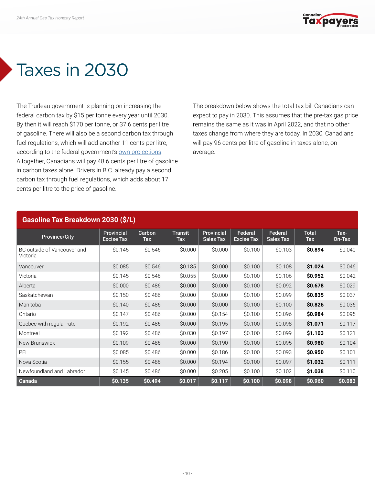

# <span id="page-9-0"></span>Taxes in 2030

The Trudeau government is planning on increasing the federal carbon tax by \$15 per tonne every year until 2030. By then it will reach \$170 per tonne, or 37.6 cents per litre of gasoline. There will also be a second carbon tax through fuel regulations, which will add another 11 cents per litre, according to the federal government's [own projections.](https://canadagazette.gc.ca/rp-pr/p1/2020/2020-12-19/html/reg2-eng.html) Altogether, Canadians will pay 48.6 cents per litre of gasoline in carbon taxes alone. Drivers in B.C. already pay a second carbon tax through fuel regulations, which adds about 17 cents per litre to the price of gasoline.

The breakdown below shows the total tax bill Canadians can expect to pay in 2030. This assumes that the pre-tax gas price remains the same as it was in April 2022, and that no other taxes change from where they are today. In 2030, Canadians will pay 96 cents per litre of gasoline in taxes alone, on average.

| <b>Gasoline Tax Breakdown 2030 (\$/L)</b> |                                 |               |                              |                                |                              |                             |                     |                |  |  |
|-------------------------------------------|---------------------------------|---------------|------------------------------|--------------------------------|------------------------------|-----------------------------|---------------------|----------------|--|--|
| <b>Province/City</b>                      | Provincial<br><b>Excise Tax</b> | Carbon<br>Tax | <b>Transit</b><br><b>Tax</b> | Provincial<br><b>Sales Tax</b> | Federal<br><b>Excise Tax</b> | Federal<br><b>Sales Tax</b> | <b>Total</b><br>Tax | Tax-<br>On-Tax |  |  |
| BC outside of Vancouver and<br>Victoria   | \$0.145                         | \$0.546       | \$0,000                      | \$0.000                        | \$0.100                      | \$0.103                     | \$0.894             | \$0.040        |  |  |
| Vancouver                                 | \$0.085                         | \$0.546       | \$0.185                      | \$0.000                        | \$0.100                      | \$0.108                     | \$1.024             | \$0.046        |  |  |
| Victoria                                  | \$0.145                         | \$0.546       | \$0.055                      | \$0.000                        | \$0.100                      | \$0.106                     | \$0.952             | \$0.042        |  |  |
| Alberta                                   | \$0.000                         | \$0.486       | \$0.000                      | \$0.000                        | \$0.100                      | \$0.092                     | \$0.678             | \$0.029        |  |  |
| Saskatchewan                              | \$0.150                         | \$0.486       | \$0.000                      | \$0.000                        | \$0.100                      | \$0.099                     | \$0.835             | \$0.037        |  |  |
| Manitoba                                  | \$0.140                         | \$0.486       | \$0.000                      | \$0.000                        | \$0.100                      | \$0.100                     | \$0.826             | \$0.036        |  |  |
| Ontario                                   | \$0.147                         | \$0.486       | \$0.000                      | \$0.154                        | \$0.100                      | \$0.096                     | \$0.984             | \$0.095        |  |  |
| Quebec with regular rate                  | \$0.192                         | \$0.486       | \$0.000                      | \$0.195                        | \$0.100                      | \$0.098                     | \$1.071             | \$0.117        |  |  |
| Montreal                                  | \$0.192                         | \$0.486       | \$0.030                      | \$0.197                        | \$0.100                      | \$0.099                     | \$1.103             | \$0.121        |  |  |
| New Brunswick                             | \$0.109                         | \$0.486       | \$0.000                      | \$0.190                        | \$0.100                      | \$0.095                     | \$0.980             | \$0.104        |  |  |
| PEI                                       | \$0.085                         | \$0.486       | \$0.000                      | \$0.186                        | \$0.100                      | \$0.093                     | \$0.950             | \$0.101        |  |  |
| Nova Scotia                               | \$0.155                         | \$0.486       | \$0.000                      | \$0.194                        | \$0.100                      | \$0.097                     | \$1.032             | \$0.111        |  |  |
| Newfoundland and Labrador                 | \$0.145                         | \$0.486       | \$0.000                      | \$0.205                        | \$0.100                      | \$0.102                     | \$1.038             | \$0.110        |  |  |
| Canada                                    | \$0.135                         | \$0.494       | \$0.017                      | \$0.117                        | \$0.100                      | \$0.098                     | \$0.960             | \$0.083        |  |  |